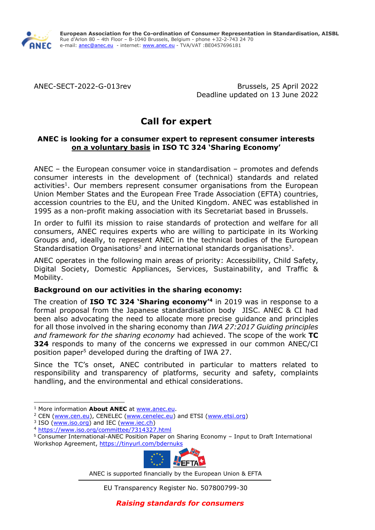

ANEC-SECT-2022-G-013rev Brussels, 25 April 2022 Deadline updated on 13 June 2022

# **Call for expert**

## **ANEC is looking for a consumer expert to represent consumer interests on a voluntary basis in ISO TC 324 'Sharing Economy'**

ANEC – the European consumer voice in standardisation – promotes and defends consumer interests in the development of (technical) standards and related activities<sup>1</sup>. Our members represent consumer organisations from the European Union Member States and the European Free Trade Association (EFTA) countries, accession countries to the EU, and the United Kingdom. ANEC was established in 1995 as a non-profit making association with its Secretariat based in Brussels.

In order to fulfil its mission to raise standards of protection and welfare for all consumers, ANEC requires experts who are willing to participate in its Working Groups and, ideally, to represent ANEC in the technical bodies of the European Standardisation Organisations<sup>2</sup> and international standards organisations<sup>3</sup>.

ANEC operates in the following main areas of priority: Accessibility, Child Safety, Digital Society, Domestic Appliances, Services, Sustainability, and Traffic & Mobility.

### **Background on our activities in the sharing economy:**

The creation of **ISO TC 324 'Sharing economy'<sup>4</sup>** in 2019 was in response to a formal proposal from the Japanese standardisation body JISC. ANEC & CI had been also advocating the need to allocate more precise guidance and principles for all those involved in the sharing economy than *IWA 27:2017 Guiding principles and framework for the sharing economy* had achieved. The scope of the work **TC 324** responds to many of the concerns we expressed in our common ANEC/CI position paper<sup>5</sup> developed during the drafting of IWA 27.

Since the TC's onset, ANEC contributed in particular to matters related to responsibility and transparency of platforms, security and safety, complaints handling, and the environmental and ethical considerations.

<sup>5</sup> Consumer International-ANEC Position Paper on Sharing Economy – Input to Draft International Workshop Agreement, <https://tinyurl.com/bdernuks>



ANEC is supported financially by the European Union & EFTA

EU Transparency Register No. 507800799-30

<sup>1</sup> More information **About ANEC** at [www.anec.eu.](http://www.anec.eu/)

<sup>&</sup>lt;sup>2</sup> CEN [\(www.cen.eu\)](http://www.cen.eu/), CENELEC [\(www.cenelec.eu\)](http://www.cenelec.eu/) and ETSI [\(www.etsi.org\)](http://www.etsi.org/)

<sup>&</sup>lt;sup>3</sup> ISO (www.iso.orq) and IEC [\(www.iec.ch\)](http://www.iec.ch/)

<sup>4</sup> <https://www.iso.org/committee/7314327.html>